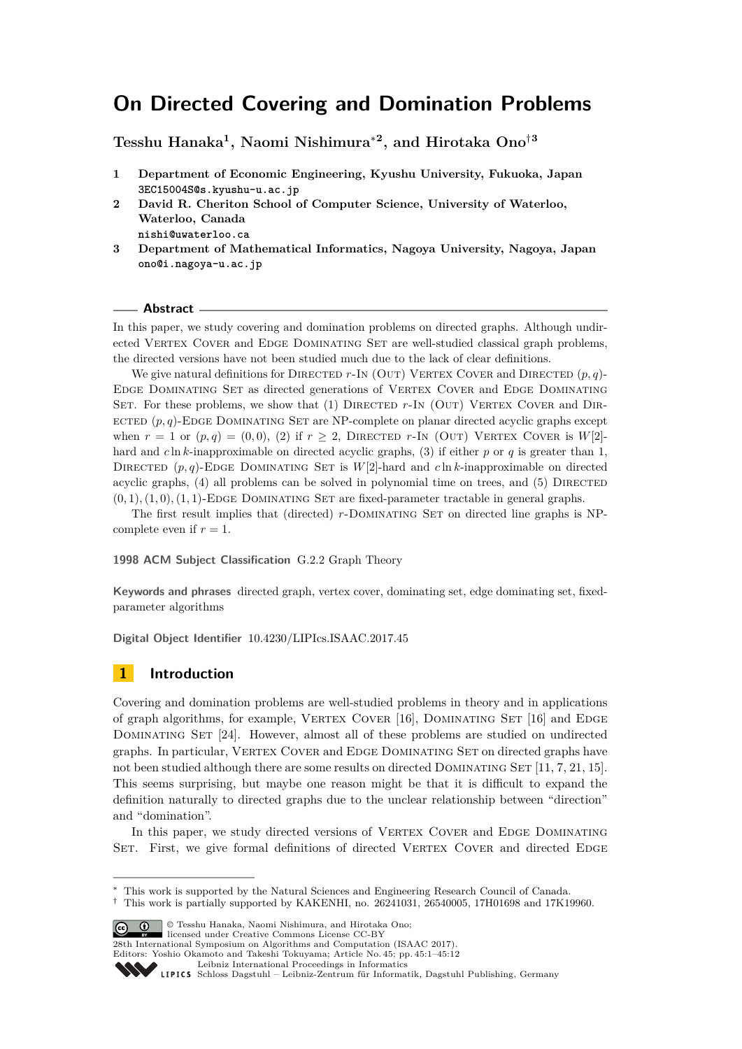# **On Directed Covering and Domination Problems**

**Tesshu Hanaka<sup>1</sup> , Naomi Nishimura**<sup>∗</sup>**<sup>2</sup> , and Hirotaka Ono**†**<sup>3</sup>**

- **1 Department of Economic Engineering, Kyushu University, Fukuoka, Japan 3EC15004S@s.kyushu-u.ac.jp**
- **2 David R. Cheriton School of Computer Science, University of Waterloo, Waterloo, Canada**
	- **nishi@uwaterloo.ca**
- **3 Department of Mathematical Informatics, Nagoya University, Nagoya, Japan ono@i.nagoya-u.ac.jp**

## **Abstract**

In this paper, we study covering and domination problems on directed graphs. Although undirected VERTEX COVER and EDGE DOMINATING SET are well-studied classical graph problems, the directed versions have not been studied much due to the lack of clear definitions.

We give natural definitions for DIRECTED  $r$ -In (OUT) VERTEX COVER and DIRECTED  $(p, q)$ -Edge Dominating Set as directed generations of Vertex Cover and Edge Dominating SET. For these problems, we show that (1) DIRECTED r-IN (OUT) VERTEX COVER and DIRected (*p, q*)-Edge Dominating Set are NP-complete on planar directed acyclic graphs except when  $r = 1$  or  $(p, q) = (0, 0), (2)$  if  $r \geq 2$ , DIRECTED *r*-In (OUT) VERTEX COVER is  $W[2]$ hard and *c* ln *k*-inapproximable on directed acyclic graphs, (3) if either *p* or *q* is greater than 1, DIRECTED  $(p, q)$ -EDGE DOMINATING SET is  $W[2]$ -hard and  $c \ln k$ -inapproximable on directed acyclic graphs,  $(4)$  all problems can be solved in polynomial time on trees, and  $(5)$  DIRECTED  $(0,1), (1,0), (1,1)$ -EDGE DOMINATING SET are fixed-parameter tractable in general graphs.

The first result implies that (directed) *r*-DOMINATING SET on directed line graphs is NPcomplete even if  $r = 1$ .

## **1998 ACM Subject Classification** G.2.2 Graph Theory

**Keywords and phrases** directed graph, vertex cover, dominating set, edge dominating set, fixedparameter algorithms

**Digital Object Identifier** [10.4230/LIPIcs.ISAAC.2017.45](http://dx.doi.org/10.4230/LIPIcs.ISAAC.2017.45)

# **1 Introduction**

Covering and domination problems are well-studied problems in theory and in applications of graph algorithms, for example, VERTEX COVER  $[16]$ , DOMINATING SET  $[16]$  and EDGE Dominating Set [\[24\]](#page-11-1). However, almost all of these problems are studied on undirected graphs. In particular, Vertex Cover and Edge Dominating Set on directed graphs have not been studied although there are some results on directed DOMINATING SET  $[11, 7, 21, 15]$  $[11, 7, 21, 15]$  $[11, 7, 21, 15]$  $[11, 7, 21, 15]$ . This seems surprising, but maybe one reason might be that it is difficult to expand the definition naturally to directed graphs due to the unclear relationship between "direction" and "domination".

In this paper, we study directed versions of VERTEX COVER and EDGE DOMINATING SET. First, we give formal definitions of directed VERTEX COVER and directed EDGE

© Tesshu Hanaka, Naomi Nishimura, and Hirotaka Ono;

licensed under Creative Commons License CC-BY

28th International Symposium on Algorithms and Computation (ISAAC 2017).

Editors: Yoshio Okamoto and Takeshi Tokuyama; Article No. 45; pp. 45:1–45[:12](#page-11-5)

<sup>∗</sup> This work is supported by the Natural Sciences and Engineering Research Council of Canada.

 $\dagger$  This work is partially supported by KAKENHI, no. 26241031, 26540005, 17H01698 and 17K19960.

[Leibniz International Proceedings in Informatics](http://www.dagstuhl.de/lipics/)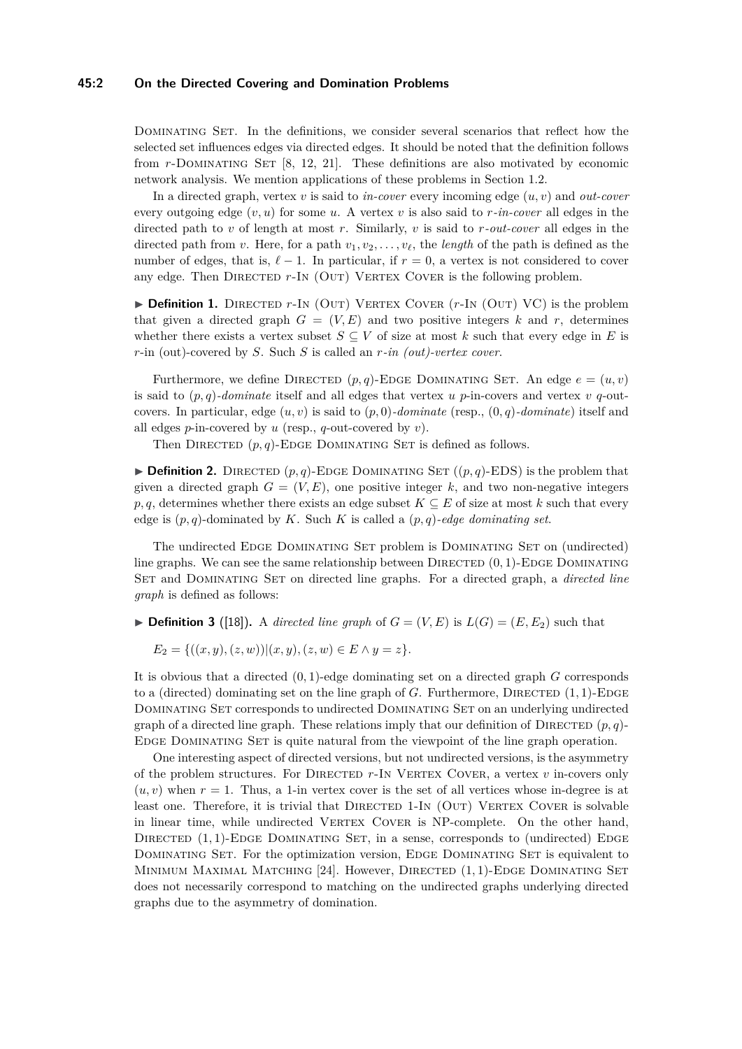#### **45:2 On the Directed Covering and Domination Problems**

DOMINATING SET. In the definitions, we consider several scenarios that reflect how the selected set influences edges via directed edges. It should be noted that the definition follows from *r*-Dominating Set [\[8,](#page-10-1) [12,](#page-11-6) [21\]](#page-11-3). These definitions are also motivated by economic network analysis. We mention applications of these problems in Section [1.2.](#page-3-0)

In a directed graph, vertex  $v$  is said to  $in\text{-}cover$  every incoming edge  $(u, v)$  and  $out\text{-}cover$ every outgoing edge  $(v, u)$  for some *u*. A vertex *v* is also said to *r*-in-cover all edges in the directed path to *v* of length at most *r*. Similarly, *v* is said to *r-out-cover* all edges in the directed path from *v*. Here, for a path  $v_1, v_2, \ldots, v_\ell$ , the *length* of the path is defined as the number of edges, that is,  $\ell - 1$ . In particular, if  $r = 0$ , a vertex is not considered to cover any edge. Then DIRECTED r-In (OUT) VERTEX COVER is the following problem.

 $\triangleright$  **Definition 1.** DIRECTED *r*-In (OUT) VERTEX COVER  $(r\text{-}IN \text{ (OUT) VC)}$  is the problem that given a directed graph  $G = (V, E)$  and two positive integers k and r, determines whether there exists a vertex subset  $S \subseteq V$  of size at most  $k$  such that every edge in  $E$  is *r*-in (out)-covered by *S*. Such *S* is called an *r-in (out)-vertex cover*.

Furthermore, we define DIRECTED  $(p, q)$ -EDGE DOMINATING SET. An edge  $e = (u, v)$ is said to  $(p, q)$ -dominate itself and all edges that vertex *u* p-in-covers and vertex *v* q-outcovers. In particular, edge  $(u, v)$  is said to  $(p, 0)$ *-dominate* (resp.,  $(0, q)$ *-dominate*) itself and all edges *p*-in-covered by *u* (resp., *q*-out-covered by *v*).

Then DIRECTED  $(p, q)$ -EDGE DOMINATING SET is defined as follows.

 $\triangleright$  **Definition 2.** DIRECTED  $(p,q)$ -EDGE DOMINATING SET  $((p,q)$ -EDS) is the problem that given a directed graph  $G = (V, E)$ , one positive integer k, and two non-negative integers *p, q*, determines whether there exists an edge subset  $K \subseteq E$  of size at most *k* such that every edge is (*p, q*)-dominated by *K*. Such *K* is called a (*p, q*)*-edge dominating set*.

The undirected Edge Dominating Set problem is Dominating Set on (undirected) line graphs. We can see the same relationship between DIRECTED  $(0, 1)$ -EDGE DOMINATING Set and Dominating Set on directed line graphs. For a directed graph, a *directed line graph* is defined as follows:

 $\blacktriangleright$  **Definition 3** ([\[18\]](#page-11-7)). A *directed line graph* of  $G = (V, E)$  is  $L(G) = (E, E_2)$  such that

$$
E_2 = \{((x, y), (z, w)) | (x, y), (z, w) \in E \land y = z\}.
$$

It is obvious that a directed (0*,* 1)-edge dominating set on a directed graph *G* corresponds to a (directed) dominating set on the line graph of  $G$ . Furthermore, DIRECTED  $(1,1)$ -EDGE Dominating Set corresponds to undirected Dominating Set on an underlying undirected graph of a directed line graph. These relations imply that our definition of DIRECTED  $(p, q)$ -Edge Dominating Set is quite natural from the viewpoint of the line graph operation.

One interesting aspect of directed versions, but not undirected versions, is the asymmetry of the problem structures. For Directed *r*-In Vertex Cover, a vertex *v* in-covers only  $(u, v)$  when  $r = 1$ . Thus, a 1-in vertex cover is the set of all vertices whose in-degree is at least one. Therefore, it is trivial that DIRECTED 1-IN (OUT) VERTEX COVER is solvable in linear time, while undirected VERTEX COVER is NP-complete. On the other hand, DIRECTED  $(1, 1)$ -EDGE DOMINATING SET, in a sense, corresponds to (undirected) EDGE DOMINATING SET. For the optimization version, EDGE DOMINATING SET is equivalent to Minimum Maximal Matching [\[24\]](#page-11-1). However, Directed (1*,* 1)-Edge Dominating Set does not necessarily correspond to matching on the undirected graphs underlying directed graphs due to the asymmetry of domination.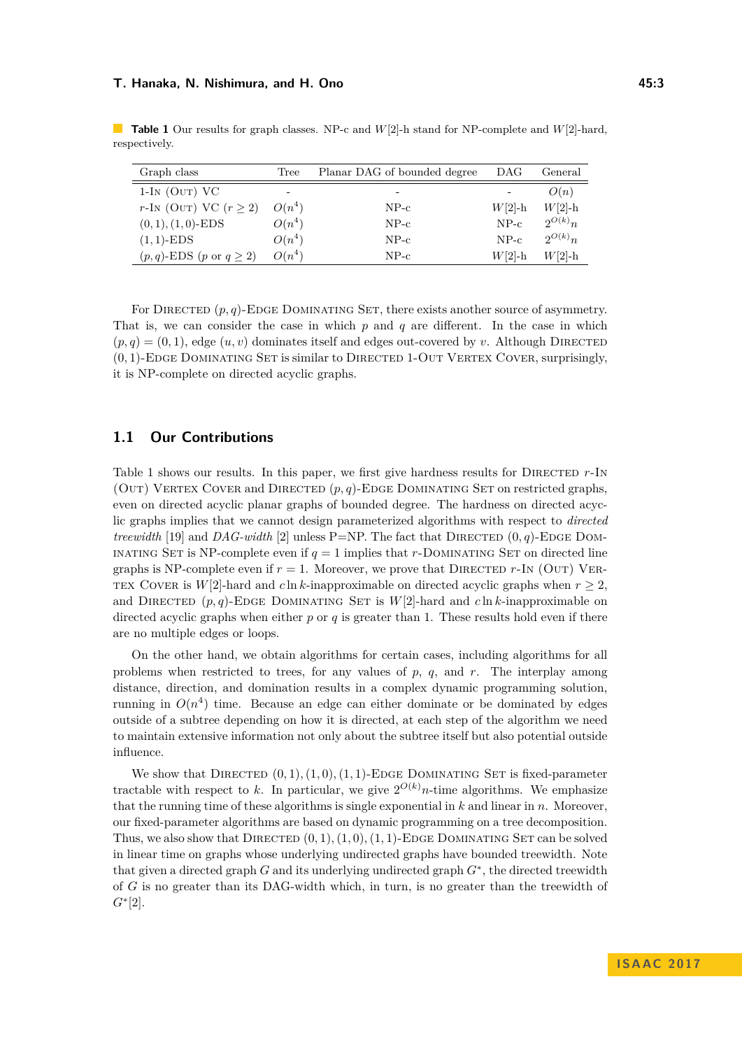| Graph class                              | Tree     | Planar DAG of bounded degree | DAG       | General     |
|------------------------------------------|----------|------------------------------|-----------|-------------|
| $1-IN$ (OUT) VC                          |          | -                            | -         | O(n)        |
| $r\text{-}IN$ (OUT) VC $(r \geq 2)$      | $O(n^4)$ | $NP-c$                       | $W[2]$ -h | $W[2]-h$    |
| $(0, 1), (1, 0)$ -EDS                    | $O(n^4)$ | $NP-c$                       | $NP-c$    | $2^{O(k)}n$ |
| $(1,1)-EDS$                              | $O(n^4)$ | $NP-c$                       | $NP-c$    | $2^{O(k)}n$ |
| $(p, q)$ -EDS $(p \text{ or } q \geq 2)$ | $O(n^4)$ | $NP-c$                       | $W[2]-h$  | $W[2]-h$    |

<span id="page-2-0"></span>**Table 1** Our results for graph classes. NP-c and *W*[2]-h stand for NP-complete and *W*[2]-hard, respectively.

For DIRECTED  $(p, q)$ -EDGE DOMINATING SET, there exists another source of asymmetry. That is, we can consider the case in which *p* and *q* are different. In the case in which  $(p,q) = (0,1)$ , edge  $(u, v)$  dominates itself and edges out-covered by *v*. Although DIRECTED (0*,* 1)-Edge Dominating Set is similar to Directed 1-Out Vertex Cover, surprisingly, it is NP-complete on directed acyclic graphs.

# **1.1 Our Contributions**

Table [1](#page-2-0) shows our results. In this paper, we first give hardness results for DIRECTED  $r$ -IN (OUT) VERTEX COVER and DIRECTED  $(p, q)$ -EDGE DOMINATING SET on restricted graphs, even on directed acyclic planar graphs of bounded degree. The hardness on directed acyclic graphs implies that we cannot design parameterized algorithms with respect to *directed treewidth* [\[19\]](#page-11-8) and *DAG-width* [\[2\]](#page-10-2) unless P=NP. The fact that DIRECTED  $(0, q)$ -EDGE DOM-INATING SET is NP-complete even if  $q = 1$  implies that *r*-DOMINATING SET on directed line graphs is NP-complete even if  $r = 1$ . Moreover, we prove that DIRECTED  $r$ -In (OUT) VER-TEX COVER is  $W[2]$ -hard and *c* ln *k*-inapproximable on directed acyclic graphs when  $r \geq 2$ , and DIRECTED  $(p, q)$ -EDGE DOMINATING SET is  $W[2]$ -hard and *c* ln *k*-inapproximable on directed acyclic graphs when either  $p$  or  $q$  is greater than 1. These results hold even if there are no multiple edges or loops.

On the other hand, we obtain algorithms for certain cases, including algorithms for all problems when restricted to trees, for any values of *p*, *q*, and *r*. The interplay among distance, direction, and domination results in a complex dynamic programming solution, running in  $O(n^4)$  time. Because an edge can either dominate or be dominated by edges outside of a subtree depending on how it is directed, at each step of the algorithm we need to maintain extensive information not only about the subtree itself but also potential outside influence.

We show that DIRECTED  $(0,1), (1,0), (1,1)$ -EDGE DOMINATING SET is fixed-parameter tractable with respect to k. In particular, we give  $2^{O(k)}n$ -time algorithms. We emphasize that the running time of these algorithms is single exponential in *k* and linear in *n*. Moreover, our fixed-parameter algorithms are based on dynamic programming on a tree decomposition. Thus, we also show that DIRECTED  $(0, 1), (1, 0), (1, 1)$ -EDGE DOMINATING SET can be solved in linear time on graphs whose underlying undirected graphs have bounded treewidth. Note that given a directed graph *G* and its underlying undirected graph *G*<sup>∗</sup> , the directed treewidth of *G* is no greater than its DAG-width which, in turn, is no greater than the treewidth of *G*<sup>∗</sup> [\[2\]](#page-10-2).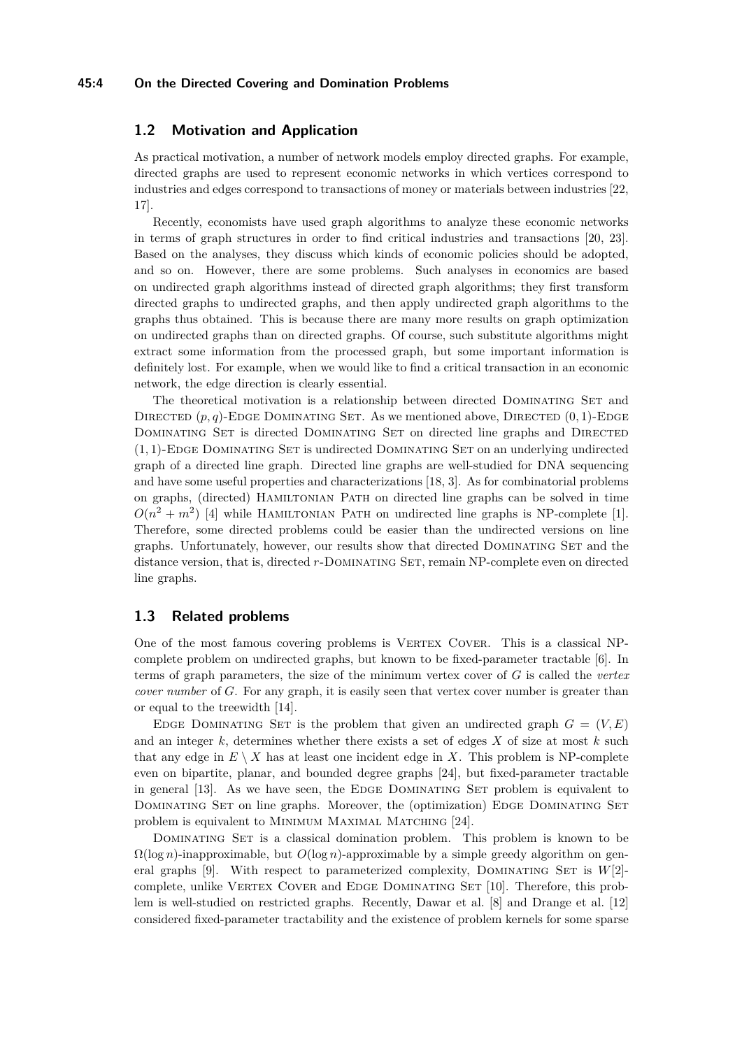#### **45:4 On the Directed Covering and Domination Problems**

# <span id="page-3-0"></span>**1.2 Motivation and Application**

As practical motivation, a number of network models employ directed graphs. For example, directed graphs are used to represent economic networks in which vertices correspond to industries and edges correspond to transactions of money or materials between industries [\[22,](#page-11-9) [17\]](#page-11-10).

Recently, economists have used graph algorithms to analyze these economic networks in terms of graph structures in order to find critical industries and transactions [\[20,](#page-11-11) [23\]](#page-11-12). Based on the analyses, they discuss which kinds of economic policies should be adopted, and so on. However, there are some problems. Such analyses in economics are based on undirected graph algorithms instead of directed graph algorithms; they first transform directed graphs to undirected graphs, and then apply undirected graph algorithms to the graphs thus obtained. This is because there are many more results on graph optimization on undirected graphs than on directed graphs. Of course, such substitute algorithms might extract some information from the processed graph, but some important information is definitely lost. For example, when we would like to find a critical transaction in an economic network, the edge direction is clearly essential.

The theoretical motivation is a relationship between directed DOMINATING SET and DIRECTED  $(p, q)$ -EDGE DOMINATING SET. As we mentioned above, DIRECTED  $(0, 1)$ -EDGE DOMINATING SET is directed DOMINATING SET on directed line graphs and DIRECTED  $(1,1)$ -EDGE DOMINATING SET is undirected DOMINATING SET on an underlying undirected graph of a directed line graph. Directed line graphs are well-studied for DNA sequencing and have some useful properties and characterizations [\[18,](#page-11-7) [3\]](#page-10-3). As for combinatorial problems on graphs, (directed) Hamiltonian Path on directed line graphs can be solved in time  $O(n^2 + m^2)$  [\[4\]](#page-10-4) while HAMILTONIAN PATH on undirected line graphs is NP-complete [\[1\]](#page-10-5). Therefore, some directed problems could be easier than the undirected versions on line graphs. Unfortunately, however, our results show that directed DOMINATING SET and the distance version, that is, directed *r*-Dominating Set, remain NP-complete even on directed line graphs.

# **1.3 Related problems**

One of the most famous covering problems is VERTEX COVER. This is a classical NPcomplete problem on undirected graphs, but known to be fixed-parameter tractable [\[6\]](#page-10-6). In terms of graph parameters, the size of the minimum vertex cover of *G* is called the *vertex cover number* of *G*. For any graph, it is easily seen that vertex cover number is greater than or equal to the treewidth [\[14\]](#page-11-13).

EDGE DOMINATING SET is the problem that given an undirected graph  $G = (V, E)$ and an integer *k*, determines whether there exists a set of edges *X* of size at most *k* such that any edge in  $E \setminus X$  has at least one incident edge in X. This problem is NP-complete even on bipartite, planar, and bounded degree graphs [\[24\]](#page-11-1), but fixed-parameter tractable in general [\[13\]](#page-11-14). As we have seen, the EDGE DOMINATING SET problem is equivalent to DOMINATING SET on line graphs. Moreover, the (optimization) EDGE DOMINATING SET problem is equivalent to Minimum Maximal Matching [\[24\]](#page-11-1).

DOMINATING SET is a classical domination problem. This problem is known to be  $\Omega(\log n)$ -inapproximable, but  $O(\log n)$ -approximable by a simple greedy algorithm on gen-eral graphs [\[9\]](#page-10-7). With respect to parameterized complexity, DOMINATING SET is  $W[2]$ -complete, unlike VERTEX COVER and EDGE DOMINATING SET [\[10\]](#page-10-8). Therefore, this problem is well-studied on restricted graphs. Recently, Dawar et al. [\[8\]](#page-10-1) and Drange et al. [\[12\]](#page-11-6) considered fixed-parameter tractability and the existence of problem kernels for some sparse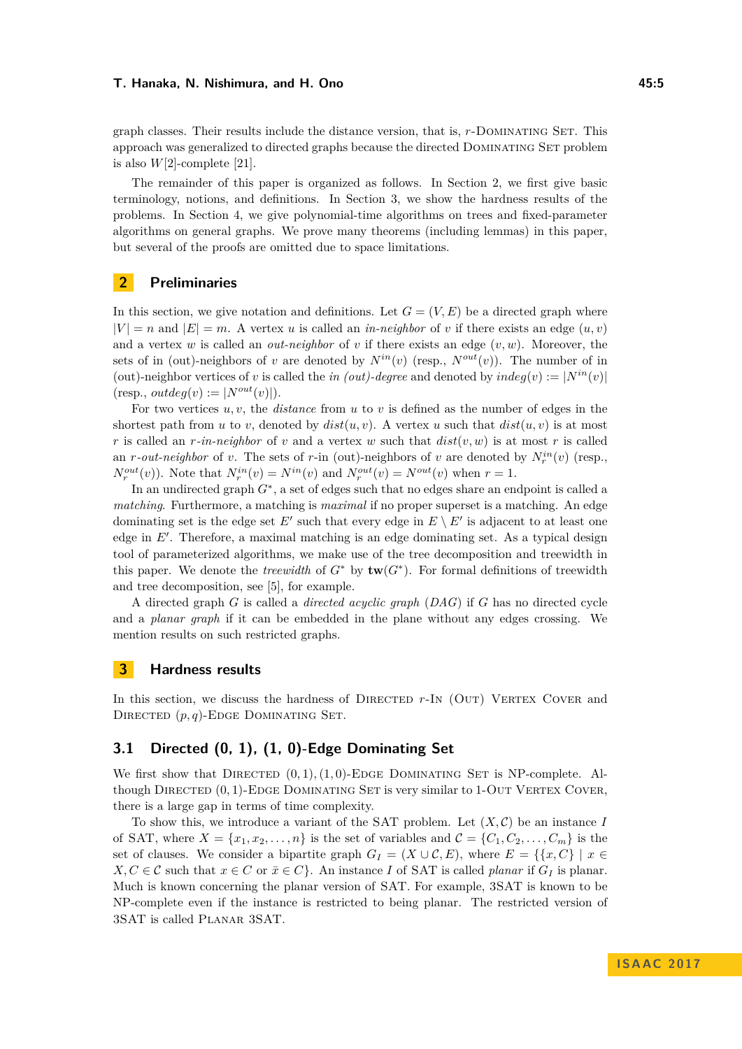graph classes. Their results include the distance version, that is, *r*-Dominating Set. This approach was generalized to directed graphs because the directed Dominating Set problem is also  $W[2]$ -complete [\[21\]](#page-11-3).

The remainder of this paper is organized as follows. In Section 2, we first give basic terminology, notions, and definitions. In Section 3, we show the hardness results of the problems. In Section 4, we give polynomial-time algorithms on trees and fixed-parameter algorithms on general graphs. We prove many theorems (including lemmas) in this paper, but several of the proofs are omitted due to space limitations.

# **2 Preliminaries**

In this section, we give notation and definitions. Let  $G = (V, E)$  be a directed graph where  $|V| = n$  and  $|E| = m$ . A vertex *u* is called an *in-neighbor* of *v* if there exists an edge  $(u, v)$ and a vertex *w* is called an *out-neighbor* of *v* if there exists an edge  $(v, w)$ . Moreover, the sets of in (out)-neighbors of *v* are denoted by  $N^{in}(v)$  (resp.,  $N^{out}(v)$ ). The number of in (out)-neighbor vertices of *v* is called the *in (out)-degree* and denoted by  $indeg(v) := |N^{in}(v)|$  $(resp., outdeg(v) := |N^{out}(v)|).$ 

For two vertices *u, v*, the *distance* from *u* to *v* is defined as the number of edges in the shortest path from *u* to *v*, denoted by  $dist(u, v)$ . A vertex *u* such that  $dist(u, v)$  is at most *r* is called an *r*-in-neighbor of *v* and a vertex *w* such that  $dist(v, w)$  is at most *r* is called an *r*-*out-neighbor* of *v*. The sets of *r*-in (out)-neighbors of *v* are denoted by  $N_r^{in}(v)$  (resp.,  $N_r^{out}(v)$ ). Note that  $N_r^{in}(v) = N^{in}(v)$  and  $N_r^{out}(v) = N^{out}(v)$  when  $r = 1$ .

In an undirected graph  $G^*$ , a set of edges such that no edges share an endpoint is called a *matching*. Furthermore, a matching is *maximal* if no proper superset is a matching. An edge dominating set is the edge set  $E'$  such that every edge in  $E \setminus E'$  is adjacent to at least one edge in  $E'$ . Therefore, a maximal matching is an edge dominating set. As a typical design tool of parameterized algorithms, we make use of the tree decomposition and treewidth in this paper. We denote the *treewidth* of  $G^*$  by  $\text{tw}(G^*)$ . For formal definitions of treewidth and tree decomposition, see [\[5\]](#page-10-9), for example.

A directed graph *G* is called a *directed acyclic graph* (*DAG*) if *G* has no directed cycle and a *planar graph* if it can be embedded in the plane without any edges crossing. We mention results on such restricted graphs.

## **3 Hardness results**

In this section, we discuss the hardness of DIRECTED  $r$ -IN (OUT) VERTEX COVER and DIRECTED  $(p, q)$ -EDGE DOMINATING SET.

# **3.1 Directed (0, 1), (1, 0)-Edge Dominating Set**

We first show that DIRECTED  $(0,1), (1,0)$ -EDGE DOMINATING SET is NP-complete. Although DIRECTED  $(0, 1)$ -EDGE DOMINATING SET is very similar to 1-OUT VERTEX COVER, there is a large gap in terms of time complexity.

To show this, we introduce a variant of the SAT problem. Let  $(X, \mathcal{C})$  be an instance *I* of SAT, where  $X = \{x_1, x_2, \ldots, n\}$  is the set of variables and  $\mathcal{C} = \{C_1, C_2, \ldots, C_m\}$  is the set of clauses. We consider a bipartite graph  $G_I = (X \cup C, E)$ , where  $E = \{\{x, C\} \mid x \in$ *X*, *C* ∈ *C* such that *x* ∈ *C* or  $\bar{x}$  ∈ *C*}. An instance *I* of SAT is called *planar* if  $G_I$  is planar. Much is known concerning the planar version of SAT. For example, 3SAT is known to be NP-complete even if the instance is restricted to being planar. The restricted version of 3SAT is called Planar 3SAT.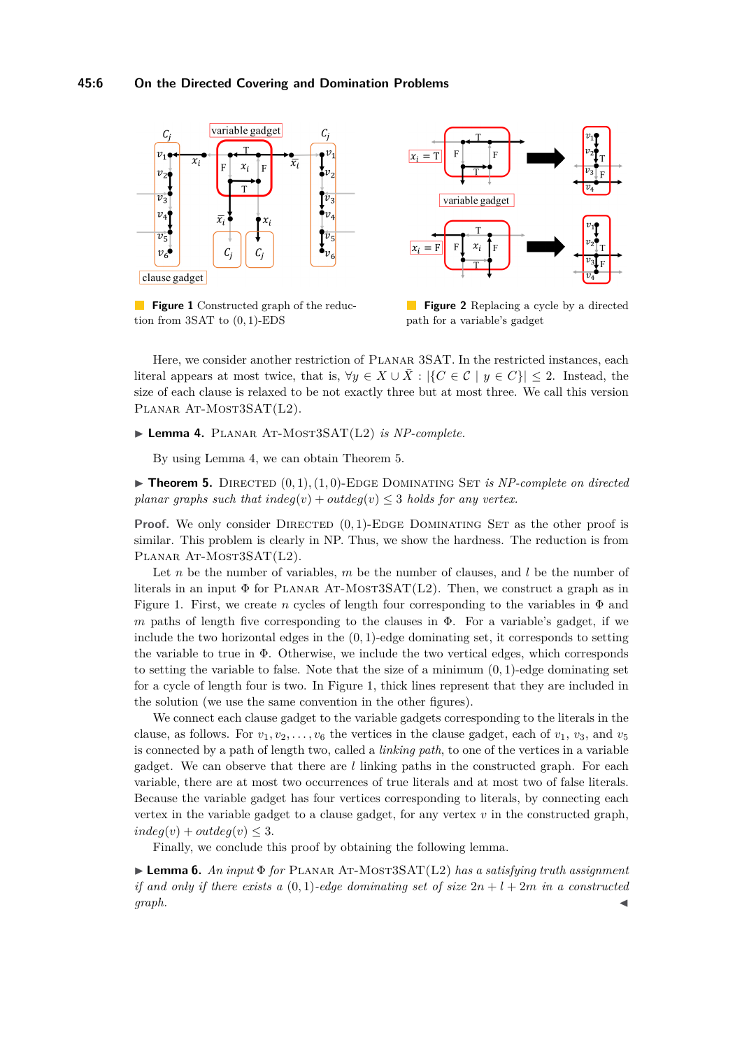## **45:6 On the Directed Covering and Domination Problems**

<span id="page-5-2"></span>

**Figure 1** Constructed graph of the reduction from 3SAT to (0*,* 1)-EDS



**Figure 2** Replacing a cycle by a directed path for a variable's gadget

Here, we consider another restriction of PLANAR 3SAT. In the restricted instances, each literal appears at most twice, that is,  $\forall y \in X \cup \overline{X}$  :  $|\{C \in \mathcal{C} \mid y \in C\}| \leq 2$ . Instead, the size of each clause is relaxed to be not exactly three but at most three. We call this version PLANAR AT-MOST3SAT(L2).

## <span id="page-5-0"></span>► Lemma 4. PLANAR AT-MOST3SAT(L2) *is NP-complete.*

By using Lemma [4,](#page-5-0) we can obtain Theorem [5.](#page-5-1)

<span id="page-5-1"></span> $\triangleright$  **Theorem 5.** DIRECTED  $(0, 1), (1, 0)$ -EDGE DOMINATING SET *is NP-complete on directed planar graphs such that*  $indeg(v) + outdeg(v) \leq 3$  *holds for any vertex.* 

**Proof.** We only consider DIRECTED  $(0,1)$ -EDGE DOMINATING SET as the other proof is similar. This problem is clearly in NP. Thus, we show the hardness. The reduction is from PLANAR AT-MOST3SAT(L2).

Let *n* be the number of variables, *m* be the number of clauses, and *l* be the number of literals in an input  $\Phi$  for PLANAR AT-MOST3SAT(L2). Then, we construct a graph as in Figure [1.](#page-5-2) First, we create *n* cycles of length four corresponding to the variables in  $\Phi$  and *m* paths of length five corresponding to the clauses in Φ. For a variable's gadget, if we include the two horizontal edges in the (0*,* 1)-edge dominating set, it corresponds to setting the variable to true in  $\Phi$ . Otherwise, we include the two vertical edges, which corresponds to setting the variable to false. Note that the size of a minimum  $(0, 1)$ -edge dominating set for a cycle of length four is two. In Figure [1,](#page-5-2) thick lines represent that they are included in the solution (we use the same convention in the other figures).

We connect each clause gadget to the variable gadgets corresponding to the literals in the clause, as follows. For  $v_1, v_2, \ldots, v_6$  the vertices in the clause gadget, each of  $v_1, v_3$ , and  $v_5$ is connected by a path of length two, called a *linking path*, to one of the vertices in a variable gadget. We can observe that there are *l* linking paths in the constructed graph. For each variable, there are at most two occurrences of true literals and at most two of false literals. Because the variable gadget has four vertices corresponding to literals, by connecting each vertex in the variable gadget to a clause gadget, for any vertex *v* in the constructed graph,  $indeg(v) + outdeg(v) \leq 3.$ 

Finally, we conclude this proof by obtaining the following lemma.

I **Lemma 6.** *An input* Φ *for* Planar At-Most3SAT(L2) *has a satisfying truth assignment if and only if there exists a*  $(0,1)$ *-edge dominating set of size*  $2n + l + 2m$  *in a constructed graph.* J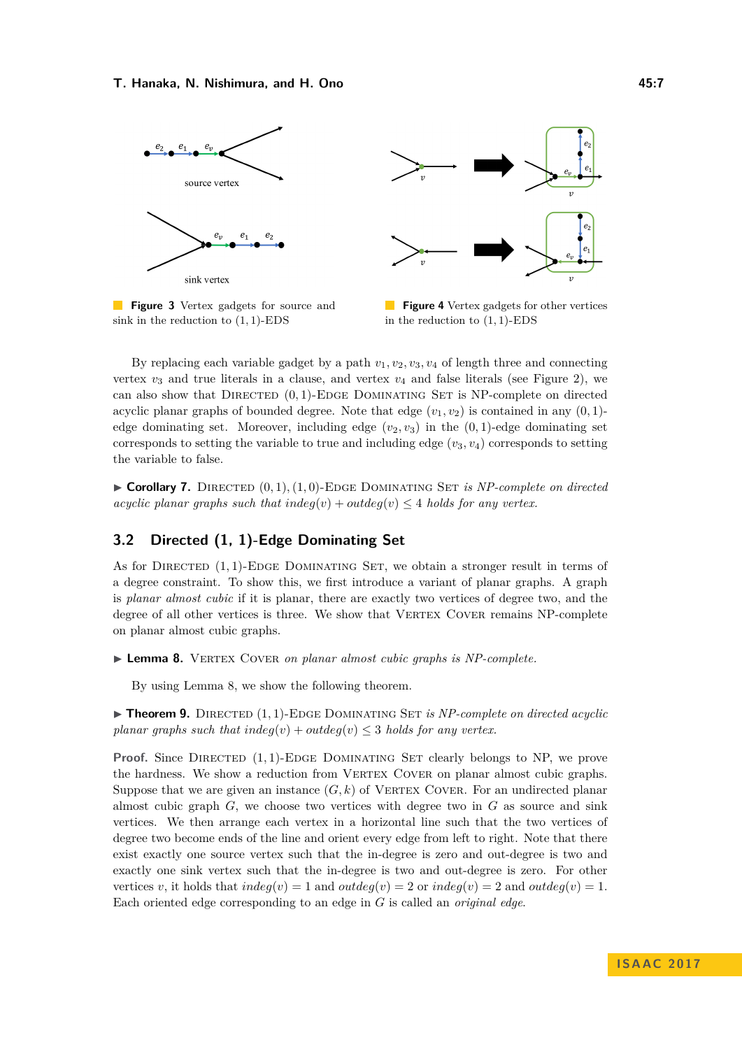<span id="page-6-1"></span>

**Figure 3** Vertex gadgets for source and sink in the reduction to (1*,* 1)-EDS



**Figure 4** Vertex gadgets for other vertices in the reduction to (1*,* 1)-EDS

By replacing each variable gadget by a path  $v_1, v_2, v_3, v_4$  of length three and connecting vertex  $v_3$  and true literals in a clause, and vertex  $v_4$  and false literals (see Figure [2\)](#page-5-2), we can also show that DIRECTED  $(0,1)$ -EDGE DOMINATING SET is NP-complete on directed acyclic planar graphs of bounded degree. Note that edge  $(v_1, v_2)$  is contained in any  $(0, 1)$ edge dominating set. Moreover, including edge  $(v_2, v_3)$  in the  $(0, 1)$ -edge dominating set corresponds to setting the variable to true and including edge  $(v_3, v_4)$  corresponds to setting the variable to false.

 $\triangleright$  **Corollary 7.** DIRECTED  $(0, 1), (1, 0)$ -EDGE DOMINATING SET *is NP-complete on directed acyclic planar graphs such that*  $indeg(v) + outdeg(v) \leq 4$  *holds for any vertex.* 

# **3.2 Directed (1, 1)-Edge Dominating Set**

As for DIRECTED (1, 1)-EDGE DOMINATING SET, we obtain a stronger result in terms of a degree constraint. To show this, we first introduce a variant of planar graphs. A graph is *planar almost cubic* if it is planar, there are exactly two vertices of degree two, and the degree of all other vertices is three. We show that VERTEX COVER remains NP-complete on planar almost cubic graphs.

<span id="page-6-0"></span>▶ Lemma 8. VERTEX COVER *on planar almost cubic graphs is NP-complete*.

By using Lemma [8,](#page-6-0) we show the following theorem.

 $\triangleright$  **Theorem 9.** DIRECTED  $(1, 1)$ -EDGE DOMINATING SET *is NP-complete on directed acyclic planar graphs such that*  $indeg(v) + outdeg(v) \leq 3$  *holds for any vertex.* 

**Proof.** Since DIRECTED  $(1,1)$ -EDGE DOMINATING SET clearly belongs to NP, we prove the hardness. We show a reduction from VERTEX COVER on planar almost cubic graphs. Suppose that we are given an instance  $(G, k)$  of VERTEX COVER. For an undirected planar almost cubic graph *G*, we choose two vertices with degree two in *G* as source and sink vertices. We then arrange each vertex in a horizontal line such that the two vertices of degree two become ends of the line and orient every edge from left to right. Note that there exist exactly one source vertex such that the in-degree is zero and out-degree is two and exactly one sink vertex such that the in-degree is two and out-degree is zero. For other vertices *v*, it holds that  $indeg(v) = 1$  and  $outdeg(v) = 2$  or  $indeg(v) = 2$  and  $outdeg(v) = 1$ . Each oriented edge corresponding to an edge in *G* is called an *original edge*.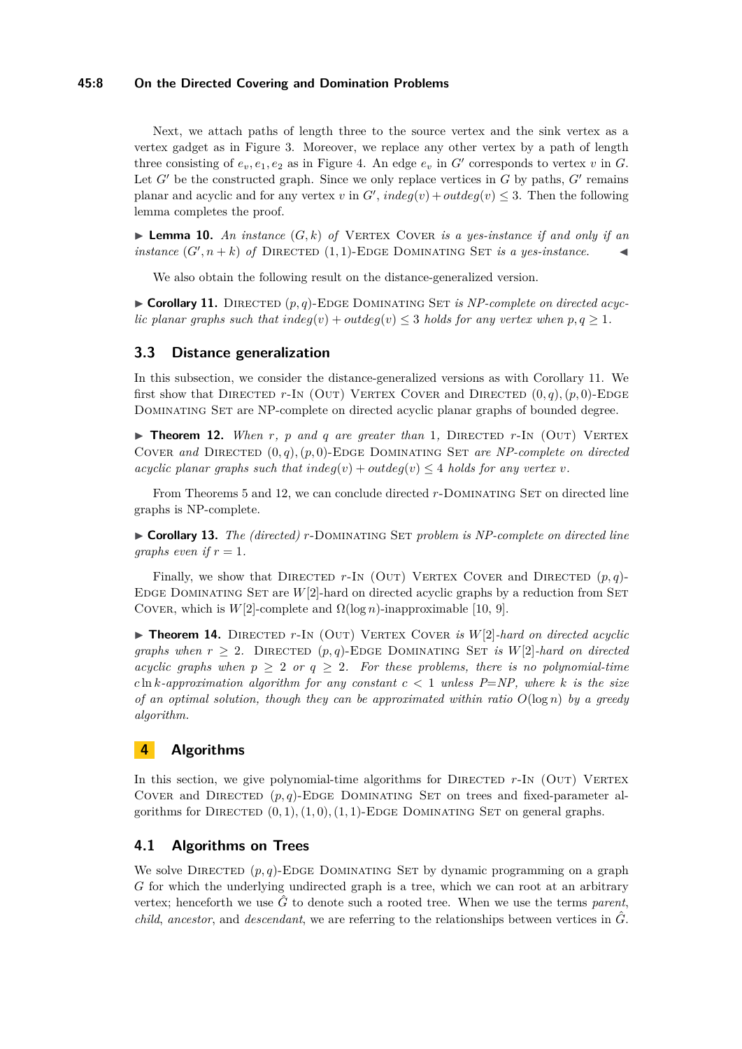# **45:8 On the Directed Covering and Domination Problems**

Next, we attach paths of length three to the source vertex and the sink vertex as a vertex gadget as in Figure [3.](#page-6-1) Moreover, we replace any other vertex by a path of length three consisting of  $e_v, e_1, e_2$  as in Figure [4.](#page-6-1) An edge  $e_v$  in  $G'$  corresponds to vertex  $v$  in  $G$ . Let  $G'$  be the constructed graph. Since we only replace vertices in  $G$  by paths,  $G'$  remains planar and acyclic and for any vertex *v* in  $G'$ ,  $indeg(v) + outdeg(v) \leq 3$ . Then the following lemma completes the proof.

**Lemma 10.** An instance  $(G, k)$  of VERTEX COVER is a yes-instance if and only if an *instance*  $(G', n+k)$  *of* DIRECTED  $(1, 1)$ -EDGE DOMINATING SET *is a yes-instance*.

We also obtain the following result on the distance-generalized version.

<span id="page-7-0"></span> $\triangleright$  **Corollary 11.** DIRECTED  $(p, q)$ -EDGE DOMINATING SET *is NP-complete on directed acyclic planar graphs such that indeg* $(v) + outdeg(v) \leq 3$  *holds for any vertex when*  $p, q \geq 1$ *.* 

# **3.3 Distance generalization**

In this subsection, we consider the distance-generalized versions as with Corollary [11.](#page-7-0) We first show that DIRECTED  $r$ -In (OUT) VERTEX COVER and DIRECTED  $(0, q)$ *,* $(p, 0)$ -EDGE Dominating Set are NP-complete on directed acyclic planar graphs of bounded degree.

<span id="page-7-1"></span> $\triangleright$  **Theorem 12.** *When r*, *p* and *q* are greater than 1, DIRECTED *r*-In (OUT) VERTEX COVER and DIRECTED  $(0, q)$ ,  $(p, 0)$ -EDGE DOMINATING SET are NP-complete on directed *acyclic planar graphs such that*  $indeg(v) + outdeg(v) \leq 4$  *holds for any vertex v.* 

From Theorems [5](#page-5-1) and [12,](#page-7-1) we can conclude directed r-DOMINATING SET on directed line graphs is NP-complete.

I **Corollary 13.** *The (directed) r*-Dominating Set *problem is NP-complete on directed line graphs even if*  $r = 1$ *.* 

Finally, we show that DIRECTED  $r$ -In (OUT) VERTEX COVER and DIRECTED  $(p,q)$ -EDGE DOMINATING SET are  $W[2]$ -hard on directed acyclic graphs by a reduction from SET COVER, which is  $W[2]$ -complete and  $\Omega(\log n)$ -inapproximable [\[10,](#page-10-8) [9\]](#page-10-7).

 $\triangleright$  **Theorem 14.** DIRECTED r-IN (OUT) VERTEX COVER *is*  $W[2]$ *-hard on directed acyclic graphs when*  $r \geq 2$ . DIRECTED  $(p, q)$ -EDGE DOMINATING SET *is*  $W[2]$ -*hard on directed acyclic graphs when*  $p \geq 2$  *or*  $q \geq 2$ *. For these problems, there is no polynomial-time c* ln *k-approximation algorithm for any constant*  $c < 1$  *unless P=NP, where k is the size of an optimal solution, though they can be approximated within ratio O*(log *n*) *by a greedy algorithm.*

# **4 Algorithms**

In this section, we give polynomial-time algorithms for DIRECTED r-IN (OUT) VERTEX COVER and DIRECTED  $(p, q)$ -EDGE DOMINATING SET on trees and fixed-parameter algorithms for DIRECTED  $(0, 1), (1, 0), (1, 1)$ -EDGE DOMINATING SET on general graphs.

# **4.1 Algorithms on Trees**

We solve DIRECTED  $(p, q)$ -EDGE DOMINATING SET by dynamic programming on a graph *G* for which the underlying undirected graph is a tree, which we can root at an arbitrary vertex; henceforth we use  $\hat{G}$  to denote such a rooted tree. When we use the terms *parent*, *child*, ancestor, and *descendant*, we are referring to the relationships between vertices in  $\hat{G}$ .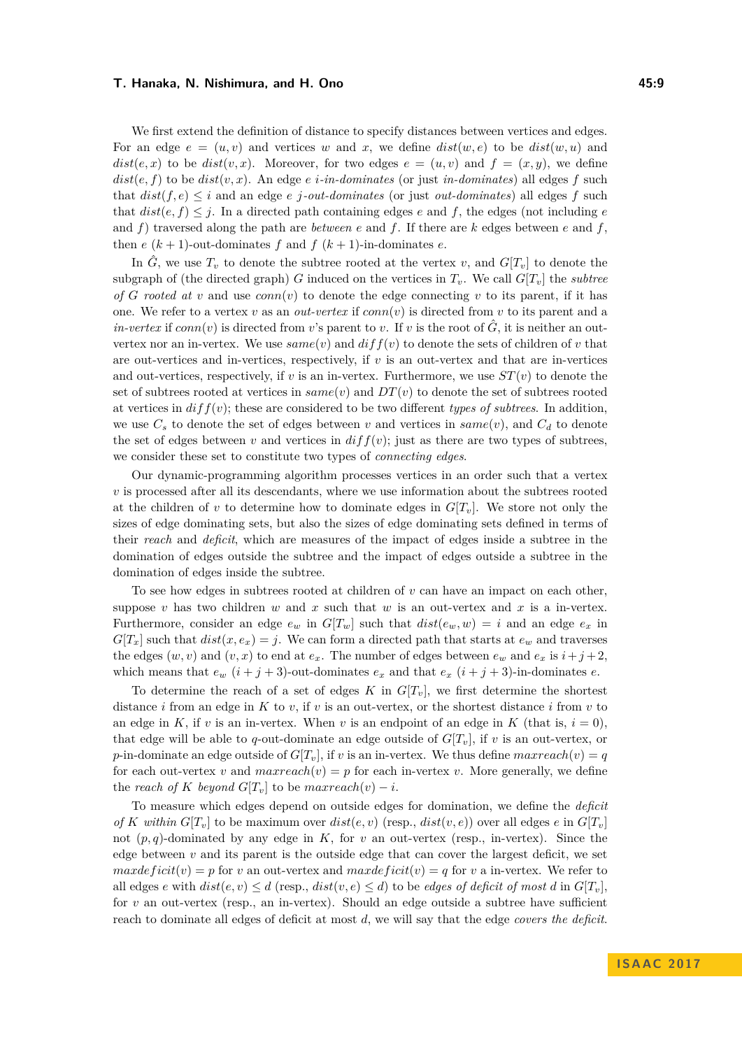We first extend the definition of distance to specify distances between vertices and edges. For an edge  $e = (u, v)$  and vertices w and x, we define  $dist(w, e)$  to be  $dist(w, u)$  and  $dist(e, x)$  to be  $dist(v, x)$ . Moreover, for two edges  $e = (u, v)$  and  $f = (x, y)$ , we define  $dist(e, f)$  to be  $dist(v, x)$ . An edge  $e$  *i*-in-dominates (or just in-dominates) all edges  $f$  such that  $dist(f, e) \leq i$  and an edge *e j*-*out-dominates* (or just *out-dominates*) all edges *f* such that  $dist(e, f) \leq j$ . In a directed path containing edges *e* and *f*, the edges (not including *e* and  $f$ ) traversed along the path are *between*  $e$  and  $f$ . If there are  $k$  edges between  $e$  and  $f$ , then  $e(k+1)$ -out-dominates  $f$  and  $f(k+1)$ -in-dominates  $e$ .

In  $\hat{G}$ , we use  $T_v$  to denote the subtree rooted at the vertex *v*, and  $G[T_v]$  to denote the subgraph of (the directed graph) *G* induced on the vertices in  $T_v$ . We call  $G[T_v]$  the *subtree of G* rooted at *v* and use  $conn(v)$  to denote the edge connecting *v* to its parent, if it has one. We refer to a vertex *v* as an *out-vertex* if  $conn(v)$  is directed from *v* to its parent and a  $in-vertex$  if  $conn(v)$  is directed from *v*'s parent to *v*. If *v* is the root of  $\tilde{G}$ , it is neither an outvertex nor an in-vertex. We use  $same(v)$  and  $diff(v)$  to denote the sets of children of v that are out-vertices and in-vertices, respectively, if *v* is an out-vertex and that are in-vertices and out-vertices, respectively, if *v* is an in-vertex. Furthermore, we use  $ST(v)$  to denote the set of subtrees rooted at vertices in *same*(*v*) and *DT*(*v*) to denote the set of subtrees rooted at vertices in  $diff(v)$ ; these are considered to be two different *types of subtrees*. In addition, we use  $C_s$  to denote the set of edges between *v* and vertices in  $same(v)$ , and  $C_d$  to denote the set of edges between  $v$  and vertices in  $diff(v)$ ; just as there are two types of subtrees, we consider these set to constitute two types of *connecting edges*.

Our dynamic-programming algorithm processes vertices in an order such that a vertex *v* is processed after all its descendants, where we use information about the subtrees rooted at the children of *v* to determine how to dominate edges in  $G[T_v]$ . We store not only the sizes of edge dominating sets, but also the sizes of edge dominating sets defined in terms of their *reach* and *deficit*, which are measures of the impact of edges inside a subtree in the domination of edges outside the subtree and the impact of edges outside a subtree in the domination of edges inside the subtree.

To see how edges in subtrees rooted at children of *v* can have an impact on each other, suppose  $v$  has two children  $w$  and  $x$  such that  $w$  is an out-vertex and  $x$  is a in-vertex. Furthermore, consider an edge  $e_w$  in  $G[T_w]$  such that  $dist(e_w, w) = i$  and an edge  $e_x$  in  $G[T_x]$  such that  $dist(x, e_x) = j$ . We can form a directed path that starts at  $e_w$  and traverses the edges  $(w, v)$  and  $(v, x)$  to end at  $e_x$ . The number of edges between  $e_w$  and  $e_x$  is  $i + j + 2$ , which means that  $e_w$   $(i + j + 3)$ -out-dominates  $e_x$  and that  $e_x$   $(i + j + 3)$ -in-dominates  $e$ .

To determine the reach of a set of edges  $K$  in  $G[T_v]$ , we first determine the shortest distance *i* from an edge in *K* to *v*, if *v* is an out-vertex, or the shortest distance *i* from *v* to an edge in *K*, if *v* is an in-vertex. When *v* is an endpoint of an edge in *K* (that is,  $i = 0$ ), that edge will be able to *q*-out-dominate an edge outside of  $G[T_v]$ , if *v* is an out-vertex, or *p*-in-dominate an edge outside of  $G[T_v]$ , if *v* is an in-vertex. We thus define  $maxreach(v) = q$ for each out-vertex *v* and  $maxreach(v) = p$  for each in-vertex *v*. More generally, we define the *reach of*  $K$  *beyond*  $G[T_v]$  to be  $maxreach(v) - i$ .

To measure which edges depend on outside edges for domination, we define the *deficit of K within*  $G[T_v]$  to be maximum over  $dist(e, v)$  (resp.,  $dist(v, e)$ ) over all edges  $e$  in  $G[T_v]$ not  $(p, q)$ -dominated by any edge in  $K$ , for  $v$  an out-vertex (resp., in-vertex). Since the edge between  $v$  and its parent is the outside edge that can cover the largest deficit, we set *maxdeficit*(*v*) = *p* for *v* an out-vertex and *maxdeficit*(*v*) = *q* for *v* a in-vertex. We refer to all edges *e* with  $dist(e, v) \leq d$  (resp.,  $dist(v, e) \leq d$ ) to be *edges of deficit of most d* in  $G[T_v]$ , for *v* an out-vertex (resp., an in-vertex). Should an edge outside a subtree have sufficient reach to dominate all edges of deficit at most *d*, we will say that the edge *covers the deficit*.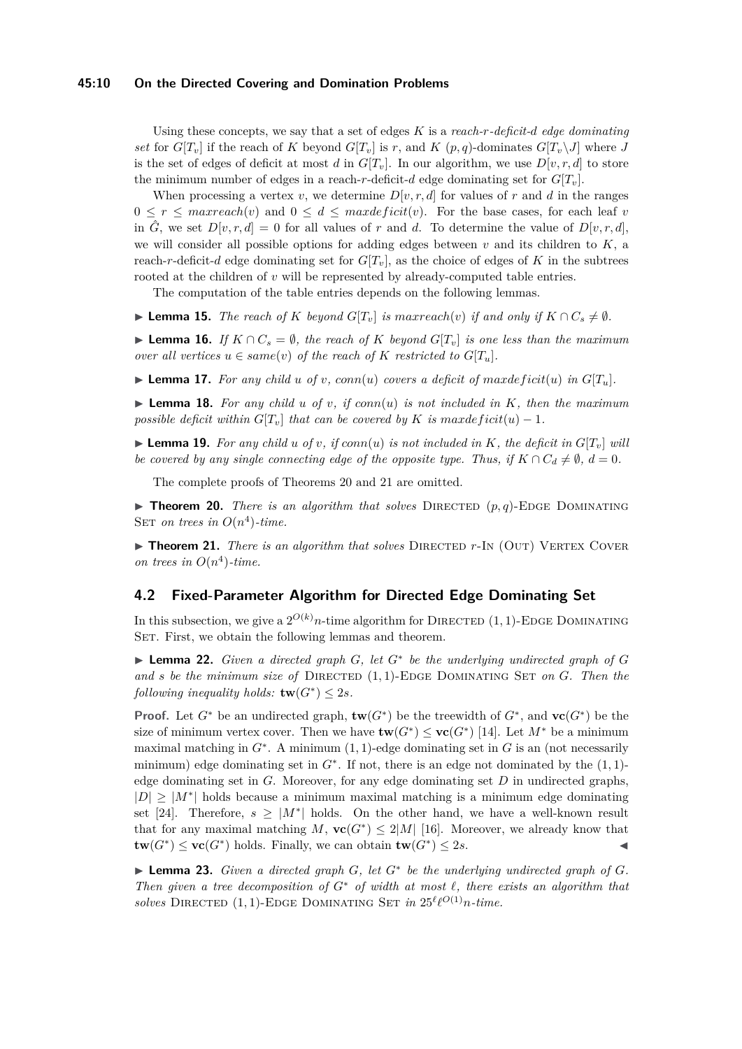## **45:10 On the Directed Covering and Domination Problems**

Using these concepts, we say that a set of edges *K* is a *reach-r-deficit-d edge dominating set* for  $G[T_v]$  if the reach of *K* beyond  $G[T_v]$  is *r*, and *K* (*p, q*)-dominates  $G[T_v\setminus J]$  where *J* is the set of edges of deficit at most *d* in  $G[T_v]$ . In our algorithm, we use  $D[v, r, d]$  to store the minimum number of edges in a reach-*r*-deficit-*d* edge dominating set for  $G[T_v]$ .

When processing a vertex *v*, we determine  $D[v, r, d]$  for values of *r* and *d* in the ranges  $0 \leq r \leq \text{maxreach}(v)$  and  $0 \leq d \leq \text{maxdeficit}(v)$ . For the base cases, for each leaf *v* in  $\hat{G}$ , we set  $D[v, r, d] = 0$  for all values of *r* and *d*. To determine the value of  $D[v, r, d]$ , we will consider all possible options for adding edges between *v* and its children to *K*, a reach-*r*-deficit-*d* edge dominating set for  $G[T_v]$ , as the choice of edges of K in the subtrees rooted at the children of *v* will be represented by already-computed table entries.

The computation of the table entries depends on the following lemmas.

▶ **Lemma 15.** *The reach of K beyond*  $G[T_v]$  *is maxreach*(*v*) *if and only if*  $K \cap C_s \neq \emptyset$ *.* 

▶ **Lemma 16.** *If*  $K \cap C_s = \emptyset$ , the reach of  $K$  beyond  $G[T_v]$  is one less than the maximum *over all vertices*  $u \in same(v)$  *of the reach of*  $K$  *restricted to*  $G[T_u]$ *.* 

 $\blacktriangleright$  **Lemma 17.** For any child u of v, conn(u) covers a deficit of maxdeficit(u) in  $G[T_u]$ .

 $\triangleright$  **Lemma 18.** For any child *u* of *v*, if conn(*u*) is not included in *K*, then the maximum *possible deficit within*  $G[T_v]$  *that can be covered by K is maxdeficit*(*u*) − 1*.* 

**Example 19.** For any child *u* of *v*, if conn(*u*) is not included in K, the deficit in  $G[T_v]$  will *be covered by any single connecting edge of the opposite type. Thus, if*  $K \cap C_d \neq \emptyset$ ,  $d = 0$ *.* 

The complete proofs of Theorems [20](#page-9-0) and [21](#page-9-1) are omitted.

<span id="page-9-0"></span>**Theorem 20.** *There is an algorithm that solves* DIRECTED  $(p, q)$ -EDGE DOMINATING SET *on trees in*  $O(n^4)$ -time.

<span id="page-9-1"></span>► **Theorem 21.** *There is an algorithm that solves* DIRECTED *r*-In (OUT) VERTEX COVER *on trees in*  $O(n^4)$ *-time.* 

# **4.2 Fixed-Parameter Algorithm for Directed Edge Dominating Set**

In this subsection, we give a  $2^{O(k)}n$ -time algorithm for DIRECTED  $(1, 1)$ -EDGE DOMINATING SET. First, we obtain the following lemmas and theorem.

<span id="page-9-2"></span>I **Lemma 22.** *Given a directed graph G, let G*<sup>∗</sup> *be the underlying undirected graph of G* and *s* be the minimum size of DIRECTED  $(1, 1)$ -EDGE DOMINATING SET on *G*. Then the *following inequality holds:*  $\mathbf{tw}(G^*) \leq 2s$ *.* 

**Proof.** Let  $G^*$  be an undirected graph,  $\mathbf{tw}(G^*)$  be the treewidth of  $G^*$ , and  $\mathbf{vc}(G^*)$  be the size of minimum vertex cover. Then we have  $\mathbf{tw}(G^*) \leq \mathbf{vc}(G^*)$  [\[14\]](#page-11-13). Let  $M^*$  be a minimum maximal matching in *G*<sup>∗</sup> . A minimum (1*,* 1)-edge dominating set in *G* is an (not necessarily minimum) edge dominating set in  $G^*$ . If not, there is an edge not dominated by the  $(1, 1)$ edge dominating set in *G*. Moreover, for any edge dominating set *D* in undirected graphs,  $|D| \geq |M^*|$  holds because a minimum maximal matching is a minimum edge dominating set [\[24\]](#page-11-1). Therefore,  $s \geq |M^*|$  holds. On the other hand, we have a well-known result that for any maximal matching  $M$ ,  $\mathbf{vc}(G^*) \leq 2|M|$  [\[16\]](#page-11-0). Moreover, we already know that  $\mathbf{tw}(G^*) \leq \mathbf{vc}(G^*)$  holds. Finally, we can obtain  $\mathbf{tw}(G^*) \leq 2s$ .

▶ **Lemma 23.** *Given a directed graph*  $G$ *, let*  $G^*$  *be the underlying undirected graph* of  $G$ *. Then given a tree decomposition of*  $G^*$  *of width at most*  $\ell$ *, there exists an algorithm that solves* DIRECTED  $(1, 1)$ -EDGE DOMINATING SET *in*  $25^{\ell} \ell^{O(1)} n$ -time.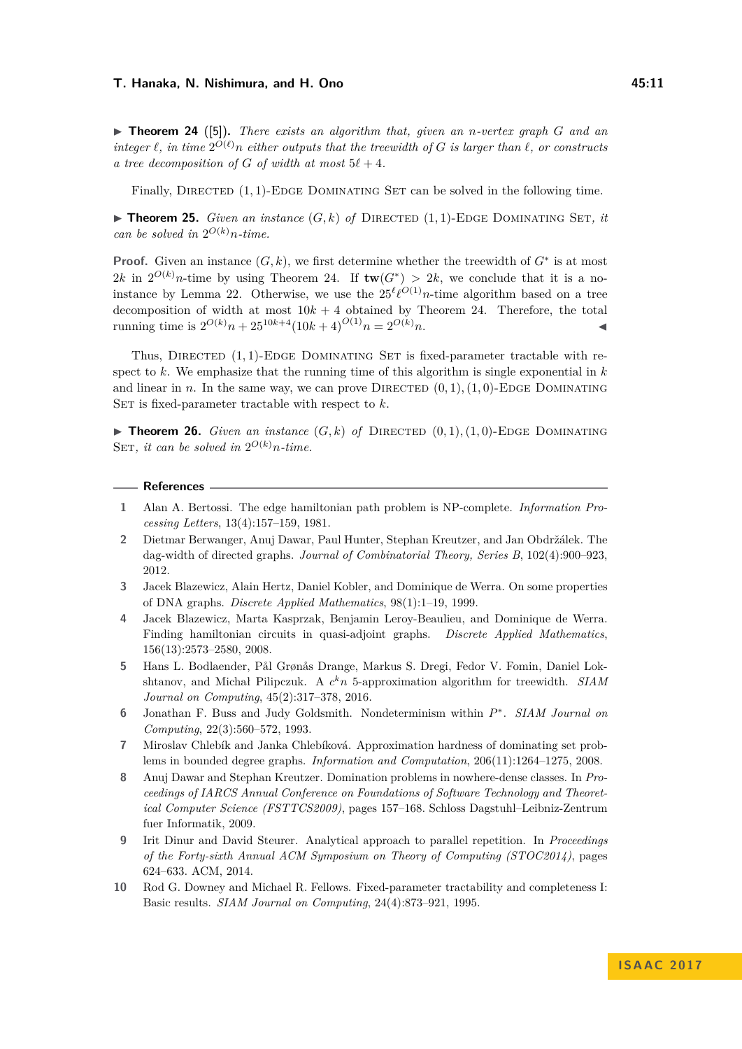<span id="page-10-10"></span> $\triangleright$  **Theorem 24** ([\[5\]](#page-10-9)). *There exists an algorithm that, given an <i>n*-vertex graph *G* and an  $\int$ *integer*  $\ell$ *, in time*  $2^{O(\ell)}n$  *either outputs that the treewidth of G is larger than*  $\ell$ *, or constructs a* tree decomposition of *G* of width at most  $5\ell + 4$ .

Finally, DIRECTED  $(1,1)$ -EDGE DOMINATING SET can be solved in the following time.

 $\blacktriangleright$  **Theorem 25.** *Given an instance*  $(G, k)$  *of* DIRECTED  $(1, 1)$ -EDGE DOMINATING SET, *it can be solved in*  $2^{O(k)}n$ *-time.* 

**Proof.** Given an instance  $(G, k)$ , we first determine whether the treewidth of  $G^*$  is at most 2k in  $2^{O(k)}n$ -time by using Theorem [24.](#page-10-10) If  $tw(G^*) > 2k$ , we conclude that it is a no-instance by Lemma [22.](#page-9-2) Otherwise, we use the  $25^{\ell} \ell^{O(1)} n$ -time algorithm based on a tree decomposition of width at most  $10k + 4$  obtained by Theorem [24.](#page-10-10) Therefore, the total running time is  $2^{O(k)}n + 25^{10k+4}(10k+4)^{O(1)}n = 2^{O(k)}n$ .

Thus, DIRECTED  $(1,1)$ -EDGE DOMINATING SET is fixed-parameter tractable with respect to  $k$ . We emphasize that the running time of this algorithm is single exponential in  $k$ and linear in *n*. In the same way, we can prove DIRECTED  $(0, 1)$ ,  $(1, 0)$ -EDGE DOMINATING SET is fixed-parameter tractable with respect to  $k$ .

 $\triangleright$  **Theorem 26.** *Given an instance*  $(G, k)$  *of* DIRECTED  $(0, 1), (1, 0)$ -EDGE DOMINATING SET, it can be solved in  $2^{O(k)}n$ -time.

## **References**

- <span id="page-10-5"></span>**1** Alan A. Bertossi. The edge hamiltonian path problem is NP-complete. *Information Processing Letters*, 13(4):157–159, 1981.
- <span id="page-10-2"></span>**2** Dietmar Berwanger, Anuj Dawar, Paul Hunter, Stephan Kreutzer, and Jan Obdržálek. The dag-width of directed graphs. *Journal of Combinatorial Theory, Series B*, 102(4):900–923, 2012.
- <span id="page-10-3"></span>**3** Jacek Blazewicz, Alain Hertz, Daniel Kobler, and Dominique de Werra. On some properties of DNA graphs. *Discrete Applied Mathematics*, 98(1):1–19, 1999.
- <span id="page-10-4"></span>**4** Jacek Blazewicz, Marta Kasprzak, Benjamin Leroy-Beaulieu, and Dominique de Werra. Finding hamiltonian circuits in quasi-adjoint graphs. *Discrete Applied Mathematics*, 156(13):2573–2580, 2008.
- <span id="page-10-9"></span>**5** Hans L. Bodlaender, Pål Grønås Drange, Markus S. Dregi, Fedor V. Fomin, Daniel Lokshtanov, and Michał Pilipczuk. A *c <sup>k</sup>n* 5-approximation algorithm for treewidth. *SIAM Journal on Computing*, 45(2):317–378, 2016.
- <span id="page-10-6"></span>**6** Jonathan F. Buss and Judy Goldsmith. Nondeterminism within *P* ∗ . *SIAM Journal on Computing*, 22(3):560–572, 1993.
- <span id="page-10-0"></span>**7** Miroslav Chlebík and Janka Chlebíková. Approximation hardness of dominating set problems in bounded degree graphs. *Information and Computation*, 206(11):1264–1275, 2008.
- <span id="page-10-1"></span>**8** Anuj Dawar and Stephan Kreutzer. Domination problems in nowhere-dense classes. In *Proceedings of IARCS Annual Conference on Foundations of Software Technology and Theoretical Computer Science (FSTTCS2009)*, pages 157–168. Schloss Dagstuhl–Leibniz-Zentrum fuer Informatik, 2009.
- <span id="page-10-7"></span>**9** Irit Dinur and David Steurer. Analytical approach to parallel repetition. In *Proceedings of the Forty-sixth Annual ACM Symposium on Theory of Computing (STOC2014)*, pages 624–633. ACM, 2014.
- <span id="page-10-8"></span>**10** Rod G. Downey and Michael R. Fellows. Fixed-parameter tractability and completeness I: Basic results. *SIAM Journal on Computing*, 24(4):873–921, 1995.

**I S A AC 2 0 1 7**